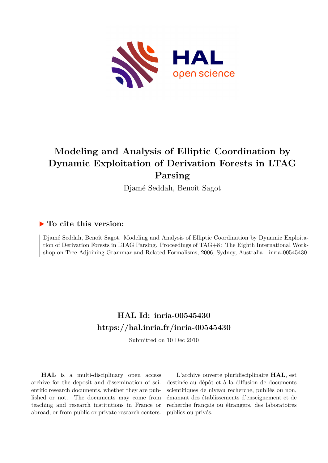

# **Modeling and Analysis of Elliptic Coordination by Dynamic Exploitation of Derivation Forests in LTAG Parsing**

Djamé Seddah, Benoît Sagot

# **To cite this version:**

Djamé Seddah, Benoît Sagot. Modeling and Analysis of Elliptic Coordination by Dynamic Exploitation of Derivation Forests in LTAG Parsing. Proceedings of TAG+8 : The Eighth International Workshop on Tree Adjoining Grammar and Related Formalisms, 2006, Sydney, Australia. inria-00545430

# **HAL Id: inria-00545430 <https://hal.inria.fr/inria-00545430>**

Submitted on 10 Dec 2010

**HAL** is a multi-disciplinary open access archive for the deposit and dissemination of scientific research documents, whether they are published or not. The documents may come from teaching and research institutions in France or abroad, or from public or private research centers.

L'archive ouverte pluridisciplinaire **HAL**, est destinée au dépôt et à la diffusion de documents scientifiques de niveau recherche, publiés ou non, émanant des établissements d'enseignement et de recherche français ou étrangers, des laboratoires publics ou privés.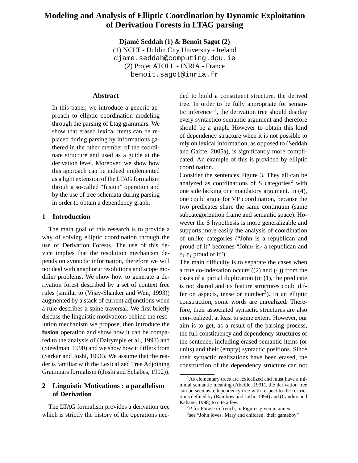# **Modeling and Analysis of Elliptic Coordination by Dynamic Exploitation of Derivation Forests in LTAG parsing**

**Djamé Seddah (1) & Benoît Sagot (2)** (1) NCLT - Dublin City University - Ireland

djame.seddah@computing.dcu.ie (2) Projet ATOLL - INRIA - France benoit.sagot@inria.fr

# **Abstract**

In this paper, we introduce a generic approach to elliptic coordination modeling through the parsing of Ltag grammars. We show that erased lexical items can be replaced during parsing by informations gathered in the other member of the coordinate structure and used as a guide at the derivation level. Moreover, we show how this approach can be indeed implemented as a light extension of the LTAG formalism throuh a so-called "fusion" operation and by the use of tree schemata during parsing in order to obtain a dependency graph.

# **1 Introduction**

The main goal of this research is to provide a way of solving elliptic coordination through the use of Derivation Forests. The use of this device implies that the resolution mechanism depends on syntactic information, therefore we will not deal with anaphoric resolutions and scope modifier problems. We show how to generate a derivation forest described by a set of context free rules (similar to (Vijay-Shanker and Weir, 1993)) augmented by a stack of current adjunctions when a rule describes a spine traversal. We first briefly discuss the linguistic motivations behind the resolution mechanism we propose, then introduce the **fusion** operation and show how it can be compared to the analysis of (Dalrymple et al., 1991) and (Steedman, 1990) and we show how it differs from (Sarkar and Joshi, 1996). We assume that the reader is familiar with the Lexicalized Tree Adjoining Grammars formalism ((Joshi and Schabes, 1992)).

# **2 Linguistic Motivations : a parallelism of Derivation**

The LTAG formalism provides a derivation tree which is strictly the history of the operations needed to build a constituent structure, the derived tree. In order to be fully appropriate for semantic inference  $<sup>1</sup>$ , the derivation tree should display</sup> every syntactico-semantic argument and therefore should be a graph. However to obtain this kind of dependency structure when it is not possible to rely on lexical information, as opposed to (Seddah and Gaiffe, 2005a), is significantly more complicated. An example of this is provided by elliptic coordination.

Consider the sentences Figure 3. They all can be analyzed as coordinations of S categories<sup>2</sup> with one side lacking one mandatory argument. In (4), one could argue for VP coordination, because the two predicates share the same continuum (same subcategorization frame and semantic space). However the S hypothesis is more generalizable and supports more easily the analysis of coordination of unlike categories ("John is a republican and proud of it" becomes "John<sub>i</sub> is<sub>j</sub> a republican and  $\varepsilon_i \varepsilon_j$  proud of it").

The main difficulty is to separate the cases when a true co-indexation occurs ((2) and (4)) from the cases of a partial duplication (in (1), the predicate is not shared and its feature structures could differ on aspects, tense or number<sup>3</sup>). In an elliptic construction, some words are unrealized. Therefore, their associated syntactic structures are also non-realized, at least to some extent. However, our aim is to get, as a result of the parsing process, the full constituency and dependency structures of the sentence, including erased semantic items (or units) and their (empty) syntactic positions. Since their syntactic realizations have been erased, the construction of the dependency structure can not

<sup>&</sup>lt;sup>1</sup>As elementary trees are lexicalized and must have a minimal semantic meaning (Abeillé, 1991), the derivation tree can be seen as a dependency tree with respect to the restrictions defined by (Rambow and Joshi, 1994) and (Candito and Kahane, 1998) to cite a few.

 $2P$  for Phrase in french, in Figures given in annex

<sup>&</sup>lt;sup>3</sup>see "John loves<sub>i</sub> Mary and children<sub>i</sub> their gameboy"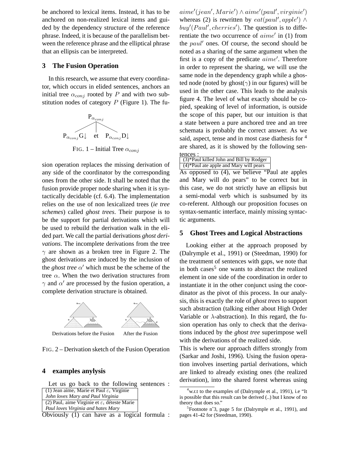be anchored to lexical items. Instead, it has to be anchored on non-realized lexical items and guided by the dependency structure of the reference phrase. Indeed, it is because of the parallelism between the reference phrase and the elliptical phrase that an ellipsis can be interpreted.

#### **3 The Fusion Operation**

In this research, we assume that every coordinator, which occurs in elided sentences, anchors an initial tree  $\alpha_{conj}$  rooted by P and with two substitution nodes of category  $P$  (Figure 1). The fu-



FIG. 1 – Initial Tree  $\alpha_{coni}$ 

sion operation replaces the missing derivation of any side of the coordinator by the corresponding ones from the other side. It shall be noted that the fusion provide proper node sharing when it is syntactically decidable (cf. 6.4). The implementation relies on the use of non lexicalized trees (*ie tree schemes*) called *ghost trees*. Their purpose is to be the support for partial derivations which will be used to rebuild the derivation walk in the elided part. We call the partial derivations *ghost derivations*. The incomplete derivations from the tree  $\gamma$  are shown as a broken tree in Figure 2. The ghost derivations are induced by the inclusion of the *ghost tree*  $\alpha'$  which must be the scheme of the tree  $\alpha$ . When the two derivation structures from  $\gamma$  and  $\alpha'$  are processed by the fusion operation, a complete derivation structure is obtained.



Derivations before the Fusion After the Fusion

FIG. 2 – Derivation sketch of the Fusion Operation

# **4 examples anylysis**

Let us go back to the following sentences :

| (1) Jean aime, Marie et Paul $\varepsilon_i$ Virginie                |
|----------------------------------------------------------------------|
| John loves Mary and Paul Virginia                                    |
| (2) Paul <sub>i</sub> aime Virginie et $\varepsilon_i$ déteste Marie |
|                                                                      |

*Paul loves Virginia and hates Mary*

Obviously (1) can have as a logical formula :

 $aime'(jean', Marie') \wedge aime'(paul',virginie')$ whereas (2) is rewritten by  $eat(paul', apple') \wedge$  $buy' (Paul',cherries')$ . The question is to differentiate the two occurrence of  $aime'$  in (1) from the paul′ ones. Of course, the second should be noted as a sharing of the same argument when the first is a copy of the predicate *aime'*. Therefore in order to represent the sharing, we will use the same node in the dependency graph while a ghosted node (noted by ghost( $\gamma$ ) in our figures) will be used in the other case. This leads to the analysis figure 4. The level of what exactly should be copied, speaking of level of information, is outside the scope of this paper, but our intuition is that a state between a pure anchored tree and an tree schemata is probably the correct answer. As we said, aspect, tense and in most case diathesis for  $4$ are shared, as it is showed by the following sentences :

| (3)*Paul killed John and Bill by Rodger               |  |  |                          |
|-------------------------------------------------------|--|--|--------------------------|
| $(4)$ <sup>*</sup> Paul ate apple and Mary will pears |  |  |                          |
|                                                       |  |  | $\overline{\phantom{a}}$ |

As opposed to (4), we believe "Paul ate apples and Mary will do pears" to be correct but in this case, we do not strictly have an ellipsis but a semi-modal verb which is susbsumed by its co-referent. Although our proposition focuses on syntax-semantic interface, mainly missing syntactic arguments.

#### **5 Ghost Trees and Logical Abstractions**

Looking either at the approach proposed by (Dalrymple et al., 1991) or (Steedman, 1990) for the treatment of sentences with gaps, we note that in both cases<sup>5</sup> one wants to abstract the realized element in one side of the coordination in order to instantiate it in the other conjunct using the coordinator as the pivot of this process. In our analysis, this is exactly the role of *ghost trees* to support such abstraction (talking either about High Order Variable or  $\lambda$ -abstraction). In this regard, the fusion operation has only to check that the derivations induced by the *ghost tree* superimpose well with the derivations of the realized side.

This is where our approach differs strongly from (Sarkar and Joshi, 1996). Using the fusion operation involves inserting partial derivations, which are linked to already existing ones (the realized derivation), into the shared forest whereas using

<sup>&</sup>lt;sup>4</sup>w.r.t to the examples of (Dalrymple et al., 1991), i.e "It is possible that this result can be derived (..) but I know of no theory that does so."

<sup>5</sup> Footnote n˚3, page 5 for (Dalrymple et al., 1991), and pages 41-42 for (Steedman, 1990).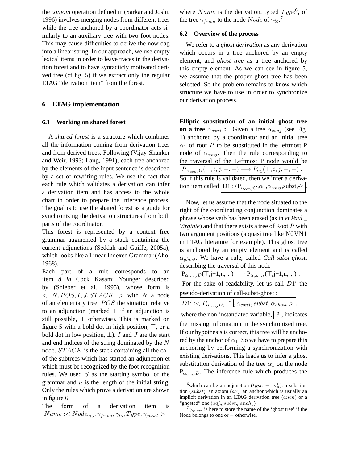the *conjoin* operation defined in (Sarkar and Joshi, 1996) involves merging nodes from different trees while the tree anchored by a coordinator acts similarly to an auxiliary tree with two foot nodes. This may cause difficulties to derive the now dag into a linear string. In our approach, we use empty lexical items in order to leave traces in the derivation forest and to have syntacticly motivated derived tree (cf fig. 5) if we extract only the regular LTAG "derivation item" from the forest.

### **6 LTAG implementation**

#### **6.1 Working on shared forest**

A *shared forest* is a structure which combines all the information coming from derivation trees and from derived trees. Following (Vijay-Shanker and Weir, 1993; Lang, 1991), each tree anchored by the elements of the input sentence is described by a set of rewriting rules. We use the fact that each rule which validates a derivation can infer a derivation item and has access to the whole chart in order to prepare the inference process. The goal is to use the shared forest as a guide for synchronizing the derivation structures from both parts of the coordinator.

This forest is represented by a context free grammar augmented by a stack containing the current adjunctions (Seddah and Gaiffe, 2005a), which looks like a Linear Indexed Grammar (Aho, 1968).

Each part of a rule corresponds to an item *à la* Cock Kasami Younger described by (Shieber et al., 1995), whose form is  $\langle N, POS, I, J, STACK \rangle$  with N a node of an elementary tree,  $POS$  the situation relative to an adjunction (marked ⊤ if an adjunction is still possible,  $\perp$  otherwise). This is marked on figure 5 with a bold dot in high position,  $\top$ , or a bold dot in low position,  $\perp$ ). I and J are the start and end indices of the string dominated by the N node. *STACK* is the stack containing all the call of the subtrees which has started an adjunction et which must be recognized by the foot recognition rules. We used  $S$  as the starting symbol of the grammar and  $n$  is the length of the initial string. Only the rules which prove a derivation are shown in figure 6.

The form of a derivation item is  $Name:$ 

where *Name* is the derivation, typed  $Type^6$ , of the tree  $\gamma_{from}$  to the node  $Node$  of  $\gamma_{to}$ .<sup>7</sup>

#### **6.2 Overview of the process**

We refer to a *ghost derivation* as any derivation which occurs in a tree anchored by an empty element, and *ghost tree* as a tree anchored by this empty element. As we can see in figure 5, we assume that the proper ghost tree has been selected. So the problem remains to know which structure we have to use in order to synchronize our derivation process.

**Elliptic substitution of an initial ghost tree on a tree**  $\alpha_{conj}$  : Given a tree  $\alpha_{conj}$  (see Fig. 1) anchored by a coordinator and an initial tree  $\alpha_1$  of root P to be substituted in the leftmost P node of  $\alpha_{\text{conj}}$ . Then the rule corresponding to the traversal of the Leftmost P node would be  $P_{\alpha_{conj}G}(\top, i, j, -, -) \longrightarrow P_{\alpha_1}(\top, i, j, -, -)$ . So if this rule is validated, then we infer a derivation item called  $\left| \overline{D1} : \langle P_{\alpha_{coni}G}, \alpha_1, \alpha_{coni}, \text{subst} \rangle \right|$ 

Now, let us assume that the node situated to the right of the coordinating conjunction dominates a phrase whose verb has been erased (as in *et Paul \_ Virginie*) and that there exists a tree of Root P with two argument positions (a quasi tree like N0VN1 in LTAG literature for example). This ghost tree is anchored by an empty element and is called  $\alpha_{\text{ghost}}$ . We have a rule, called *Call-subst-ghost*, describing the traversal of this node :

 ${\rm P}_{\alpha_{conj}D}(\top,{\rm j+1},\!{\rm n},\!{\scriptscriptstyle {\rm -}},\!{\scriptscriptstyle {\rm -}}) \longrightarrow {\rm P}_{\alpha_{ghost}}(\top,{\rm j+1},\!{\rm n},\!{\scriptscriptstyle {\rm -}},\!{\scriptscriptstyle {\rm -}}) \Big| .$ 

For the sake of readability, let us call  $\overrightarrow{D1}$  the pseudo-derivation of call-subst-ghost :

| $D1':< P_{\alpha_{conj}D},$ ?, $\alpha_{conj},$ subst, $\alpha_{ghost}$ >, |
|----------------------------------------------------------------------------|
|                                                                            |

where the non-instantiated variable,  $\mid$  ?, indicates the missing information in the synchronized tree. If our hypothesis is correct, this tree will be anchored by the anchor of  $\alpha_1$ . So we have to prepare this anchoring by performing a synchronization with existing derivations. This leads us to infer a ghost substitution derivation of the tree  $\alpha_1$  on the node  $P_{\alpha_{\text{con}},D}$ . The inference rule which produces the

<sup>&</sup>lt;sup>6</sup>which can be an adjunction ( $type = adj$ ), a substitution (subst), an axiom  $(ax)$ , an anchor which is usually an implicit derivation in an LTAG derivation tree (anch) or a "ghosted" one  $\left( \frac{adj_{g}}{subst_{g}} \right)$ 

 $\gamma_{ghost}$  is here to store the name of the 'ghost tree' if the Node belongs to one or − otherwise.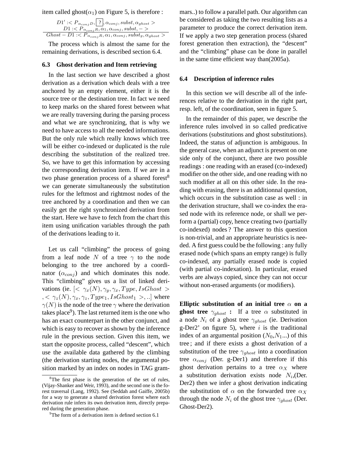item called ghost( $\alpha_1$ ) on Figure 5, is therefore :

| $D1' : , ?, \alpha_{conj}, subst, \alpha_{ghost}D1: < P_{\alpha_{conj}R}, \alpha_1, \alpha_{conj}, subst, ->$ |
|---------------------------------------------------------------------------------------------------------------|
| $Ghost-D1: < P_{\alpha_{conj}R}, \alpha_1, \alpha_{conj}, subst_g, \alpha_{ghost} >$                          |

The process which is almost the same for the remaining derivations, is described section 6.4.

#### **6.3 Ghost derivation and Item retrieving**

In the last section we have described a ghost derivation as a derivation which deals with a tree anchored by an empty element, either it is the source tree or the destination tree. In fact we need to keep marks on the shared forest between what we are really traversing during the parsing process and what we are synchronizing, that is why we need to have access to all the needed informations. But the only rule which really knows which tree will be either co-indexed or duplicated is the rule describing the substitution of the realized tree. So, we have to get this information by accessing the corresponding derivation item. If we are in a two phase generation process of a shared forest<sup>8</sup> we can generate simultaneously the substitution rules for the leftmost and rightmost nodes of the tree anchored by a coordination and then we can easily get the right synchronized derivation from the start. Here we have to fetch from the chart this item using unification variables through the path of the derivations leading to it.

Let us call "climbing" the process of going from a leaf node N of a tree  $\gamma$  to the node belonging to the tree anchored by a coordinator  $(\alpha_{\text{conj}})$  and which dominates this node. This "climbing" gives us a list of linked derivations (ie.  $\left[ \langle \gamma_x(N), \gamma_y, \gamma_x, Type, IsGhost \rangle \right]$  $\gamma < \gamma_z(N), \gamma_x, \gamma_z, Type_1, IsGhost_1 > ...$  where  $\gamma(N)$  is the node of the tree  $\gamma$  where the derivation takes place<sup>9</sup>). The last returned item is the one who has an exact counterpart in the other conjunct, and which is easy to recover as shown by the inference rule in the previous section. Given this item, we start the opposite process, called "descent", which use the available data gathered by the climbing (the derivation starting nodes, the argumental position marked by an index on nodes in TAG grammars..) to follow a parallel path. Our algorithm can be considered as taking the two resulting lists as a parameter to produce the correct derivation item. If we apply a two step generation process (shared forest generation then extraction), the "descent" and the "climbing" phase can be done in parallel in the same time efficient way than(2005a).

#### **6.4 Description of inference rules**

In this section we will describe all of the inferences relative to the derivation in the right part, resp. left, of the coordination, seen in figure 5.

In the remainder of this paper, we describe the inference rules involved in so called predicative derivations (substitutions and ghost substitutions). Indeed, the status of adjunction is ambiguous. In the general case, when an adjunct is present on one side only of the conjunct, there are two possible readings : one reading with an erased (co-indexed) modifier on the other side, and one reading with no such modifier at all on this other side. In the reading with erasing, there is an additionnal question, which occurs in the substitution case as well : in the derivation structure, shall we co-index the erased node with its reference node, or shall we perform a (partial) copy, hence creating two (partially co-indexed) nodes ? The answer to this question is non-trivial, and an appropriate heuristics is needed. A first guess could be the following : any fully erased node (which spans an empty range) is fully co-indexed, any partially erased node is copied (with partial co-indexation). In particular, erased verbs are always copied, since they can not occur without non-erased arguments (or modifiers).

**Elliptic substitution of an initial tree**  $\alpha$  on a **ghost tree**  $\gamma_{ghost}$  : If a tree  $\alpha$  substituted in a node  $N_i$  of a ghost tree  $\gamma_{ghost}$  (ie. Derivation g-Der2' on figure 5), where  $i$  is the traditional index of an argumental position  $(N_0, N_1...)$  of this tree ; and if there exists a ghost derivation of a substitution of the tree  $\gamma_{ghost}$  into a coordination tree  $\alpha_{\text{conj}}$  (Der. g-Der1) and therefore if this ghost derivation pertains to a tree  $\alpha_X$  where a substitution derivation exists node  $N_i$ , (Der. Der2) then we infer a ghost derivation indicating the substitution of  $\alpha$  on the forwarded tree  $\alpha_X$ through the node  $N_i$  of the ghost tree  $\gamma_{\text{ghost}}$  (Der. Ghost-Der2).

 $8^8$ The first phase is the generation of the set of rules, (Vijay-Shanker and Weir, 1993), and the second one is the forest traversal (Lang, 1992). See (Seddah and Gaiffe, 2005b) for a way to generate a shared derivation forest where each derivation rule infers its own derivation item, directly prepared during the generation phase.

<sup>&</sup>lt;sup>9</sup>The form of a derivation item is defined section 6.1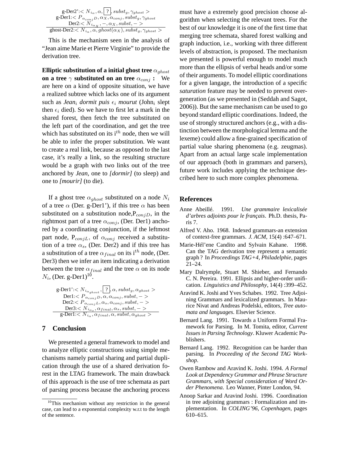| g-Der2': $\langle N_{i_{\alpha}}, \alpha,   ?  $ , subst <sub>g</sub> , $\gamma_{ghost} >$<br>g-Der1: $P_{\alpha_{conj}D}, \alpha_{X}, \alpha_{conj}, subst_g, \gamma_{ghost}$ |
|--------------------------------------------------------------------------------------------------------------------------------------------------------------------------------|
| Der2:< $N_{i_{\alpha_X}}, -, \alpha_X, \text{subst}, -$                                                                                                                        |
| $\text{ghost-Der2:} < N_{i_{\alpha}}, \alpha, ghost(\alpha_X), subst_g, \gamma_{ghost} >$                                                                                      |

This is the mechanism seen in the analysis of "Jean aime Marie et Pierre Virginie" to provide the derivation tree.

**Elliptic substitution of a initial ghost tree**  $\alpha_{\text{ghost}}$ **on a tree**  $\gamma$  **substituted on an tree**  $\alpha_{coni}$  **:** We are here on a kind of opposite situation, we have a realized subtree which lacks one of its argument such as *Jean<sub>i</sub> dormit puis*  $\epsilon_i$  *mourut* (John<sub>i</sub> slept then  $\epsilon_i$  died). So we have to first let a mark in the shared forest, then fetch the tree substituted on the left part of the coordination, and get the tree which has substituted on its  $i^{th}$  node, then we will be able to infer the proper substitution. We want to create a real link, because as opposed to the last case, it's really a link, so the resulting structure would be a graph with two links out of the tree anchored by *Jean*, one to *[dormir]* (to sleep) and one to *[mourir]* (to die).

If a ghost tree  $\alpha_{ghost}$  substituted on a node  $N_i$ of a tree  $\alpha$  (Der. g-Der1'), if this tree  $\alpha$  has been substituted on a substitution node,  $P_{\text{conj}}$ , in the rightmost part of a tree  $\alpha_{conj}$ , (Der. Der1) anchored by a coordinating conjunction, if the leftmost part node,  $P_{conjL}$ , of  $\alpha_{conj}$  received a substitution of a tree  $\alpha_s$ , (Der. Der2) and if this tree has a substitution of a tree  $\alpha_{final}$  on its i<sup>th</sup> node, (Der. Der3) then we infer an item indicating a derivation between the tree  $\alpha_{final}$  and the tree  $\alpha$  on its node  $N_i$ , (Der. g-Der1)<sup>10</sup>.

$$
\begin{array}{l} \textrm{g-Der1':}  \\ \textrm{Der1:<}  \\ \textrm{Der2:<}  \\ \textrm{Der3:<}  \\ \textrm{g-Der1:<} \overline{N}_{i_{\alpha}}, \alpha_{final}, \alpha, \mathit{subst}, \alpha_{\mathit{ghost}} > \end{array}
$$

# **7 Conclusion**

We presented a general framework to model and to analyze elliptic constructions using simple mechanisms namely partial sharing and partial duplication through the use of a shared derivation forest in the LTAG framework. The main drawback of this approach is the use of tree schemata as part of parsing process because the anchoring process must have a extremely good precision choose algorithm when selecting the relevant trees. For the best of our knowledge it is one of the first time that merging tree schemata, shared forest walking and graph induction, i.e., working with three different levels of abstraction, is proposed. The mechanism we presented is powerful enough to model much more than the ellipsis of verbal heads and/or some of their arguments. To model elliptic coordinations for a given langage, the introduction of a specific *saturation* feature may be needed to prevent overgeneration (as we presented in (Seddah and Sagot, 2006)). But the same mechanism can be used to go beyond standard elliptic coordinations. Indeed, the use of strongly structured anchors (e.g., with a distinction between the morphological lemma and the lexeme) could allow a fine-grained specification of partial value sharing phenomena (e.g. zeugmas). Apart from an actual large scale implementation of our approach (both in grammars and parsers), future work includes applying the technique described here to such more complex phenomena.

#### **References**

- Anne Abeillé. 1991. *Une grammaire lexicalisée d'arbres adjoints pour le français*. Ph.D. thesis, Paris 7.
- Alfred V. Aho. 1968. Indexed grammars-an extension of context-free grammars. *J. ACM*, 15(4) :647–671.
- Marie-Hél'ene Candito and Sylvain Kahane. 1998. Can the TAG derivation tree represent a semantic graph ? In *Proceedings TAG+4, Philadelphie*, pages 21–24.
- Mary Dalrymple, Stuart M. Shieber, and Fernando C. N. Pereira. 1991. Ellipsis and higher-order unification. *Linguistics and Philosophy*, 14(4) :399–452.
- Aravind K. Joshi and Yves Schabes. 1992. Tree Adjoining Grammars and lexicalized grammars. In Maurice Nivat and Andreas Podelski, editors, *Tree automata and languages*. Elsevier Science.
- Bernard Lang. 1991. Towards a Uniform Formal Framework for Parsing. In M. Tomita, editor, *Current Issues in Parsing Technology*. Kluwer Academic Publishers.
- Bernard Lang. 1992. Recognition can be harder than parsing. In *Proceeding of the Second TAG Workshop*.
- Owen Rambow and Aravind K. Joshi. 1994. *A Formal Look at Dependency Grammar and Phrase Structure Grammars, with Special consideration of Word Order Phenomena*. Leo Wanner, Pinter London, 94.
- Anoop Sarkar and Aravind Joshi. 1996. Coordination in tree adjoining grammars : Formalization and implementation. In *COLING'96, Copenhagen*, pages 610–615.

 $10$ This mechanism without any restriction in the general case, can lead to a exponential complexity w.r.t to the length of the sentence.